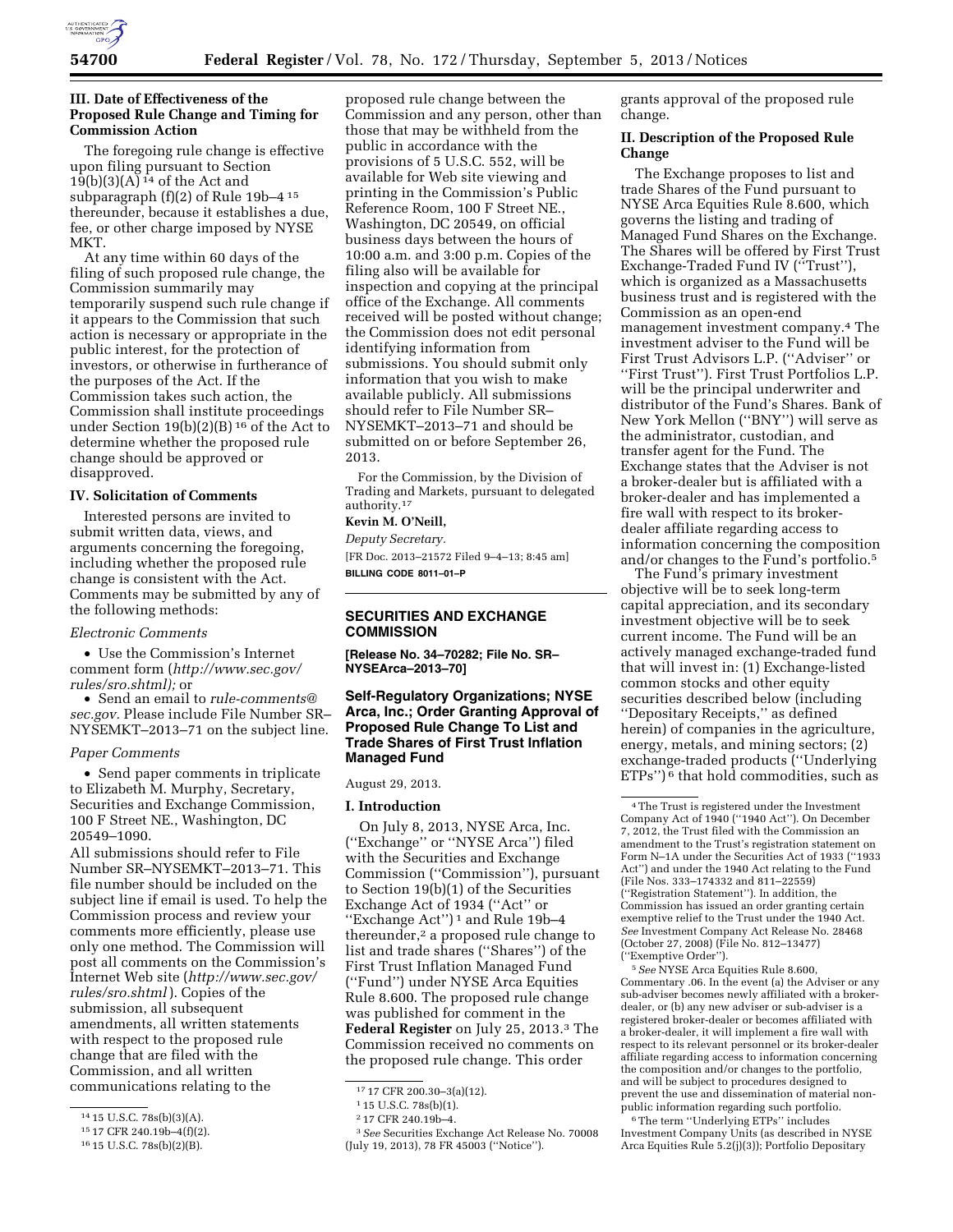

# **III. Date of Effectiveness of the Proposed Rule Change and Timing for Commission Action**

The foregoing rule change is effective upon filing pursuant to Section  $19(b)(3)(A)$ <sup>14</sup> of the Act and subparagraph (f)(2) of Rule 19b–4 15 thereunder, because it establishes a due, fee, or other charge imposed by NYSE MKT.

At any time within 60 days of the filing of such proposed rule change, the Commission summarily may temporarily suspend such rule change if it appears to the Commission that such action is necessary or appropriate in the public interest, for the protection of investors, or otherwise in furtherance of the purposes of the Act. If the Commission takes such action, the Commission shall institute proceedings under Section  $19(b)(2)(B)$ <sup>16</sup> of the Act to determine whether the proposed rule change should be approved or disapproved.

#### **IV. Solicitation of Comments**

Interested persons are invited to submit written data, views, and arguments concerning the foregoing, including whether the proposed rule change is consistent with the Act. Comments may be submitted by any of the following methods:

### *Electronic Comments*

• Use the Commission's Internet comment form (*[http://www.sec.gov/](http://www.sec.gov/rules/sro.shtml) [rules/sro.shtml\);](http://www.sec.gov/rules/sro.shtml)* or

• Send an email to *[rule-comments@](mailto:rule-comments@sec.gov) [sec.gov.](mailto:rule-comments@sec.gov)* Please include File Number SR– NYSEMKT–2013–71 on the subject line.

### *Paper Comments*

• Send paper comments in triplicate to Elizabeth M. Murphy, Secretary, Securities and Exchange Commission, 100 F Street NE., Washington, DC 20549–1090.

All submissions should refer to File Number SR–NYSEMKT–2013–71. This file number should be included on the subject line if email is used. To help the Commission process and review your comments more efficiently, please use only one method. The Commission will post all comments on the Commission's Internet Web site (*[http://www.sec.gov/](http://www.sec.gov/rules/sro.shtml) [rules/sro.shtml](http://www.sec.gov/rules/sro.shtml)* ). Copies of the submission, all subsequent amendments, all written statements with respect to the proposed rule change that are filed with the Commission, and all written communications relating to the

proposed rule change between the Commission and any person, other than those that may be withheld from the public in accordance with the provisions of 5 U.S.C. 552, will be available for Web site viewing and printing in the Commission's Public Reference Room, 100 F Street NE., Washington, DC 20549, on official business days between the hours of 10:00 a.m. and 3:00 p.m. Copies of the filing also will be available for inspection and copying at the principal office of the Exchange. All comments received will be posted without change; the Commission does not edit personal identifying information from submissions. You should submit only information that you wish to make available publicly. All submissions should refer to File Number SR– NYSEMKT–2013–71 and should be submitted on or before September 26, 2013.

For the Commission, by the Division of Trading and Markets, pursuant to delegated authority.17

# **Kevin M. O'Neill,**

*Deputy Secretary.*  [FR Doc. 2013–21572 Filed 9–4–13; 8:45 am] **BILLING CODE 8011–01–P** 

# **SECURITIES AND EXCHANGE COMMISSION**

**[Release No. 34–70282; File No. SR– NYSEArca–2013–70]** 

# **Self-Regulatory Organizations; NYSE Arca, Inc.; Order Granting Approval of Proposed Rule Change To List and Trade Shares of First Trust Inflation Managed Fund**

August 29, 2013.

#### **I. Introduction**

On July 8, 2013, NYSE Arca, Inc. (''Exchange'' or ''NYSE Arca'') filed with the Securities and Exchange Commission (''Commission''), pursuant to Section 19(b)(1) of the Securities Exchange Act of 1934 (''Act'' or ''Exchange Act'') 1 and Rule 19b–4 thereunder,<sup>2</sup> a proposed rule change to list and trade shares (''Shares'') of the First Trust Inflation Managed Fund (''Fund'') under NYSE Arca Equities Rule 8.600. The proposed rule change was published for comment in the **Federal Register** on July 25, 2013.3 The Commission received no comments on the proposed rule change. This order

3*See* Securities Exchange Act Release No. 70008 (July 19, 2013), 78 FR 45003 (''Notice'').

grants approval of the proposed rule change.

# **II. Description of the Proposed Rule Change**

The Exchange proposes to list and trade Shares of the Fund pursuant to NYSE Arca Equities Rule 8.600, which governs the listing and trading of Managed Fund Shares on the Exchange. The Shares will be offered by First Trust Exchange-Traded Fund IV (''Trust''), which is organized as a Massachusetts business trust and is registered with the Commission as an open-end management investment company.4 The investment adviser to the Fund will be First Trust Advisors L.P. (''Adviser'' or ''First Trust''). First Trust Portfolios L.P. will be the principal underwriter and distributor of the Fund's Shares. Bank of New York Mellon (''BNY'') will serve as the administrator, custodian, and transfer agent for the Fund. The Exchange states that the Adviser is not a broker-dealer but is affiliated with a broker-dealer and has implemented a fire wall with respect to its brokerdealer affiliate regarding access to information concerning the composition and/or changes to the Fund's portfolio.5

The Fund's primary investment objective will be to seek long-term capital appreciation, and its secondary investment objective will be to seek current income. The Fund will be an actively managed exchange-traded fund that will invest in: (1) Exchange-listed common stocks and other equity securities described below (including ''Depositary Receipts,'' as defined herein) of companies in the agriculture, energy, metals, and mining sectors; (2) exchange-traded products (''Underlying  $ETPs'$ <sup>6</sup> that hold commodities, such as

5*See* NYSE Arca Equities Rule 8.600, Commentary .06. In the event (a) the Adviser or any sub-adviser becomes newly affiliated with a brokerdealer, or (b) any new adviser or sub-adviser is a registered broker-dealer or becomes affiliated with a broker-dealer, it will implement a fire wall with respect to its relevant personnel or its broker-dealer affiliate regarding access to information concerning the composition and/or changes to the portfolio, and will be subject to procedures designed to prevent the use and dissemination of material nonpublic information regarding such portfolio.

6The term ''Underlying ETPs'' includes Investment Company Units (as described in NYSE Arca Equities Rule 5.2(j)(3)); Portfolio Depositary

<sup>14</sup> 15 U.S.C. 78s(b)(3)(A).

<sup>15</sup> 17 CFR 240.19b–4(f)(2).

<sup>16</sup> 15 U.S.C. 78s(b)(2)(B).

<sup>17</sup> 17 CFR 200.30–3(a)(12).

<sup>1</sup> 15 U.S.C. 78s(b)(1).

<sup>2</sup> 17 CFR 240.19b–4.

<sup>4</sup>The Trust is registered under the Investment Company Act of 1940 (''1940 Act''). On December 7, 2012, the Trust filed with the Commission an amendment to the Trust's registration statement on Form N–1A under the Securities Act of 1933 (''1933 Act'') and under the 1940 Act relating to the Fund (File Nos. 333–174332 and 811–22559) (''Registration Statement''). In addition, the Commission has issued an order granting certain exemptive relief to the Trust under the 1940 Act. *See* Investment Company Act Release No. 28468 (October 27, 2008) (File No. 812–13477) (''Exemptive Order'').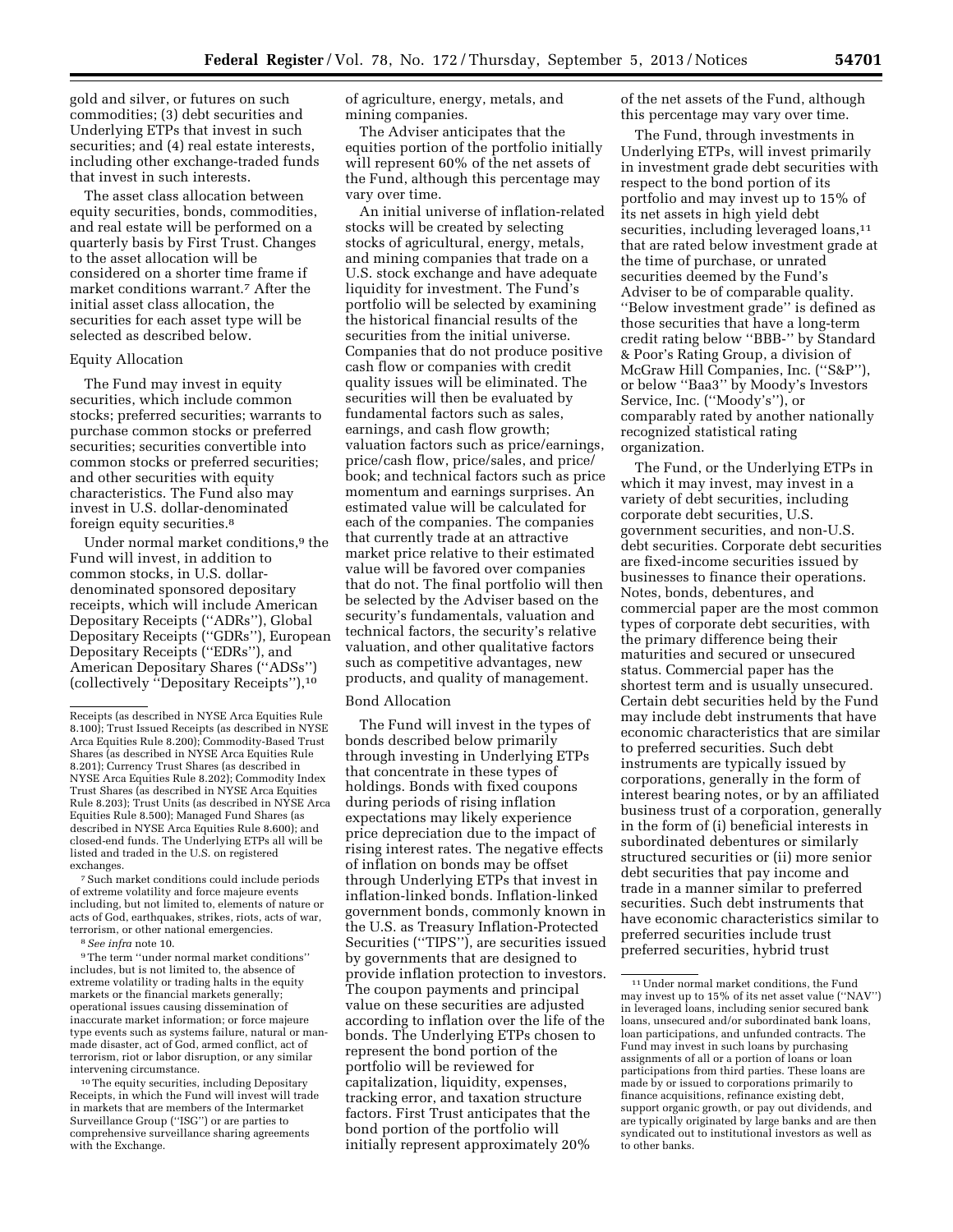gold and silver, or futures on such commodities; (3) debt securities and Underlying ETPs that invest in such securities; and (4) real estate interests, including other exchange-traded funds that invest in such interests.

The asset class allocation between equity securities, bonds, commodities, and real estate will be performed on a quarterly basis by First Trust. Changes to the asset allocation will be considered on a shorter time frame if market conditions warrant.7 After the initial asset class allocation, the securities for each asset type will be selected as described below.

#### Equity Allocation

The Fund may invest in equity securities, which include common stocks; preferred securities; warrants to purchase common stocks or preferred securities; securities convertible into common stocks or preferred securities; and other securities with equity characteristics. The Fund also may invest in U.S. dollar-denominated foreign equity securities.8

Under normal market conditions,9 the Fund will invest, in addition to common stocks, in U.S. dollardenominated sponsored depositary receipts, which will include American Depositary Receipts (''ADRs''), Global Depositary Receipts (''GDRs''), European Depositary Receipts (''EDRs''), and American Depositary Shares (''ADSs'') (collectively ''Depositary Receipts''),10

7Such market conditions could include periods of extreme volatility and force majeure events including, but not limited to, elements of nature or acts of God, earthquakes, strikes, riots, acts of war, terrorism, or other national emergencies.

8*See infra* note 10.

9The term ''under normal market conditions'' includes, but is not limited to, the absence of extreme volatility or trading halts in the equity markets or the financial markets generally; operational issues causing dissemination of inaccurate market information; or force majeure type events such as systems failure, natural or manmade disaster, act of God, armed conflict, act of terrorism, riot or labor disruption, or any similar intervening circumstance.

10The equity securities, including Depositary Receipts, in which the Fund will invest will trade in markets that are members of the Intermarket Surveillance Group (''ISG'') or are parties to comprehensive surveillance sharing agreements with the Exchange.

of agriculture, energy, metals, and mining companies.

The Adviser anticipates that the equities portion of the portfolio initially will represent 60% of the net assets of the Fund, although this percentage may vary over time.

An initial universe of inflation-related stocks will be created by selecting stocks of agricultural, energy, metals, and mining companies that trade on a U.S. stock exchange and have adequate liquidity for investment. The Fund's portfolio will be selected by examining the historical financial results of the securities from the initial universe. Companies that do not produce positive cash flow or companies with credit quality issues will be eliminated. The securities will then be evaluated by fundamental factors such as sales, earnings, and cash flow growth; valuation factors such as price/earnings, price/cash flow, price/sales, and price/ book; and technical factors such as price momentum and earnings surprises. An estimated value will be calculated for each of the companies. The companies that currently trade at an attractive market price relative to their estimated value will be favored over companies that do not. The final portfolio will then be selected by the Adviser based on the security's fundamentals, valuation and technical factors, the security's relative valuation, and other qualitative factors such as competitive advantages, new products, and quality of management.

#### Bond Allocation

The Fund will invest in the types of bonds described below primarily through investing in Underlying ETPs that concentrate in these types of holdings. Bonds with fixed coupons during periods of rising inflation expectations may likely experience price depreciation due to the impact of rising interest rates. The negative effects of inflation on bonds may be offset through Underlying ETPs that invest in inflation-linked bonds. Inflation-linked government bonds, commonly known in the U.S. as Treasury Inflation-Protected Securities (''TIPS''), are securities issued by governments that are designed to provide inflation protection to investors. The coupon payments and principal value on these securities are adjusted according to inflation over the life of the bonds. The Underlying ETPs chosen to represent the bond portion of the portfolio will be reviewed for capitalization, liquidity, expenses, tracking error, and taxation structure factors. First Trust anticipates that the bond portion of the portfolio will initially represent approximately 20%

of the net assets of the Fund, although this percentage may vary over time.

The Fund, through investments in Underlying ETPs, will invest primarily in investment grade debt securities with respect to the bond portion of its portfolio and may invest up to 15% of its net assets in high yield debt securities, including leveraged loans,<sup>11</sup> that are rated below investment grade at the time of purchase, or unrated securities deemed by the Fund's Adviser to be of comparable quality. ''Below investment grade'' is defined as those securities that have a long-term credit rating below ''BBB-'' by Standard & Poor's Rating Group, a division of McGraw Hill Companies, Inc. (''S&P''), or below ''Baa3'' by Moody's Investors Service, Inc. (''Moody's''), or comparably rated by another nationally recognized statistical rating organization.

The Fund, or the Underlying ETPs in which it may invest, may invest in a variety of debt securities, including corporate debt securities, U.S. government securities, and non-U.S. debt securities. Corporate debt securities are fixed-income securities issued by businesses to finance their operations. Notes, bonds, debentures, and commercial paper are the most common types of corporate debt securities, with the primary difference being their maturities and secured or unsecured status. Commercial paper has the shortest term and is usually unsecured. Certain debt securities held by the Fund may include debt instruments that have economic characteristics that are similar to preferred securities. Such debt instruments are typically issued by corporations, generally in the form of interest bearing notes, or by an affiliated business trust of a corporation, generally in the form of (i) beneficial interests in subordinated debentures or similarly structured securities or (ii) more senior debt securities that pay income and trade in a manner similar to preferred securities. Such debt instruments that have economic characteristics similar to preferred securities include trust preferred securities, hybrid trust

Receipts (as described in NYSE Arca Equities Rule 8.100); Trust Issued Receipts (as described in NYSE Arca Equities Rule 8.200); Commodity-Based Trust Shares (as described in NYSE Arca Equities Rule 8.201); Currency Trust Shares (as described in NYSE Arca Equities Rule 8.202); Commodity Index Trust Shares (as described in NYSE Arca Equities Rule 8.203); Trust Units (as described in NYSE Arca Equities Rule 8.500); Managed Fund Shares (as described in NYSE Arca Equities Rule 8.600); and closed-end funds. The Underlying ETPs all will be listed and traded in the U.S. on registered exchanges.

<sup>11</sup>Under normal market conditions, the Fund may invest up to 15% of its net asset value (''NAV'') in leveraged loans, including senior secured bank loans, unsecured and/or subordinated bank loans, loan participations, and unfunded contracts. The Fund may invest in such loans by purchasing assignments of all or a portion of loans or loan participations from third parties. These loans are made by or issued to corporations primarily to finance acquisitions, refinance existing debt, support organic growth, or pay out dividends, and are typically originated by large banks and are then syndicated out to institutional investors as well as to other banks.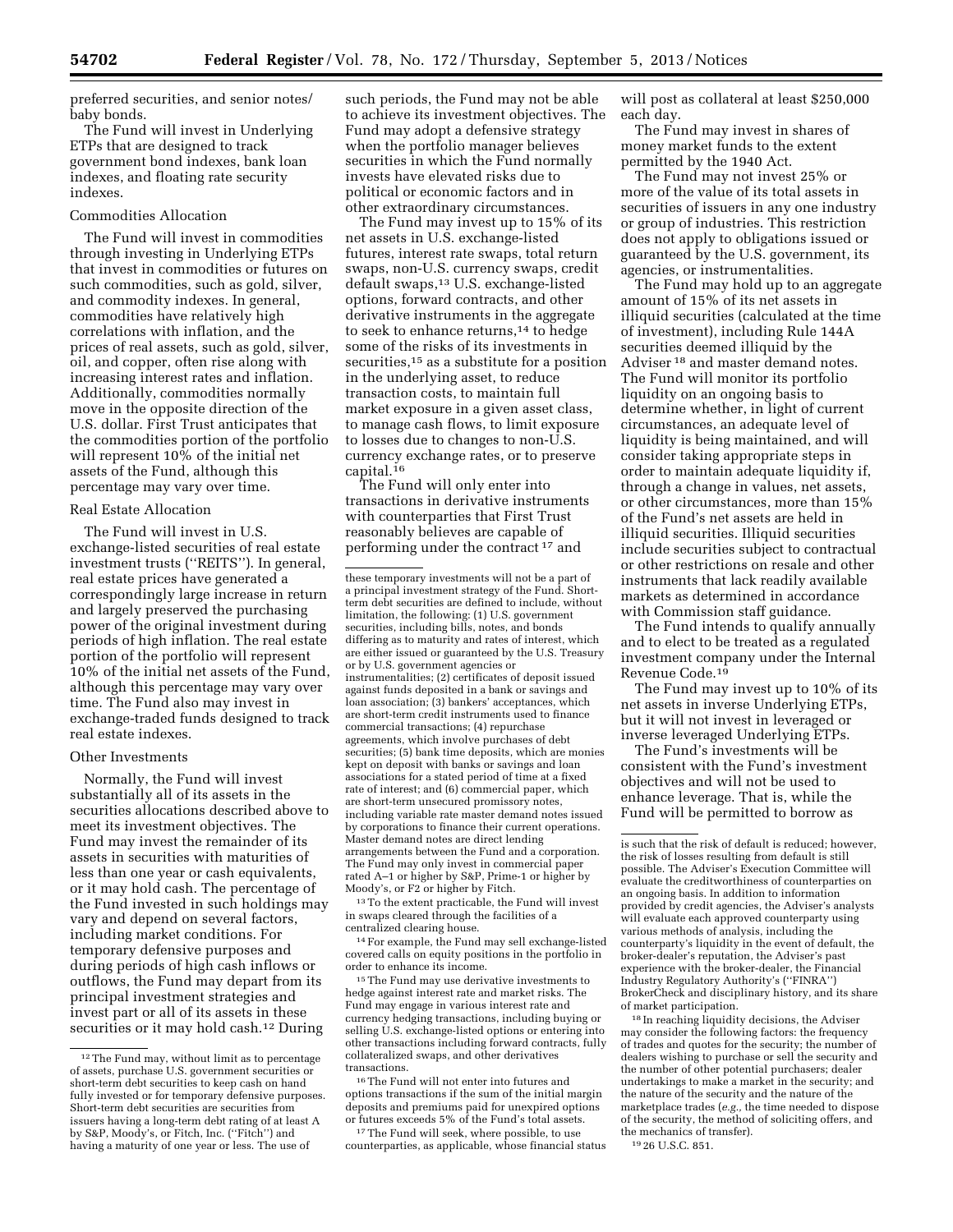preferred securities, and senior notes/ baby bonds.

The Fund will invest in Underlying ETPs that are designed to track government bond indexes, bank loan indexes, and floating rate security indexes.

# Commodities Allocation

The Fund will invest in commodities through investing in Underlying ETPs that invest in commodities or futures on such commodities, such as gold, silver, and commodity indexes. In general, commodities have relatively high correlations with inflation, and the prices of real assets, such as gold, silver, oil, and copper, often rise along with increasing interest rates and inflation. Additionally, commodities normally move in the opposite direction of the U.S. dollar. First Trust anticipates that the commodities portion of the portfolio will represent 10% of the initial net assets of the Fund, although this percentage may vary over time.

### Real Estate Allocation

The Fund will invest in U.S. exchange-listed securities of real estate investment trusts (''REITS''). In general, real estate prices have generated a correspondingly large increase in return and largely preserved the purchasing power of the original investment during periods of high inflation. The real estate portion of the portfolio will represent 10% of the initial net assets of the Fund, although this percentage may vary over time. The Fund also may invest in exchange-traded funds designed to track real estate indexes.

#### Other Investments

Normally, the Fund will invest substantially all of its assets in the securities allocations described above to meet its investment objectives. The Fund may invest the remainder of its assets in securities with maturities of less than one year or cash equivalents, or it may hold cash. The percentage of the Fund invested in such holdings may vary and depend on several factors, including market conditions. For temporary defensive purposes and during periods of high cash inflows or outflows, the Fund may depart from its principal investment strategies and invest part or all of its assets in these securities or it may hold cash.<sup>12</sup> During

such periods, the Fund may not be able to achieve its investment objectives. The Fund may adopt a defensive strategy when the portfolio manager believes securities in which the Fund normally invests have elevated risks due to political or economic factors and in other extraordinary circumstances.

The Fund may invest up to 15% of its net assets in U.S. exchange-listed futures, interest rate swaps, total return swaps, non-U.S. currency swaps, credit default swaps,13 U.S. exchange-listed options, forward contracts, and other derivative instruments in the aggregate to seek to enhance returns,<sup>14</sup> to hedge some of the risks of its investments in securities,<sup>15</sup> as a substitute for a position in the underlying asset, to reduce transaction costs, to maintain full market exposure in a given asset class, to manage cash flows, to limit exposure to losses due to changes to non-U.S. currency exchange rates, or to preserve capital.16

The Fund will only enter into transactions in derivative instruments with counterparties that First Trust reasonably believes are capable of performing under the contract 17 and

13To the extent practicable, the Fund will invest in swaps cleared through the facilities of a centralized clearing house.

14For example, the Fund may sell exchange-listed covered calls on equity positions in the portfolio in order to enhance its income.

<sup>15</sup>The Fund may use derivative investments to hedge against interest rate and market risks. The Fund may engage in various interest rate and currency hedging transactions, including buying or selling U.S. exchange-listed options or entering into other transactions including forward contracts, fully collateralized swaps, and other derivatives transactions.

 $^{\rm 16}\rm{The}$  Fund will not enter into futures and options transactions if the sum of the initial margin deposits and premiums paid for unexpired options or futures exceeds 5% of the Fund's total assets.

<sup>17</sup>The Fund will seek, where possible, to use counterparties, as applicable, whose financial status

will post as collateral at least \$250,000 each day.

The Fund may invest in shares of money market funds to the extent permitted by the 1940 Act.

The Fund may not invest 25% or more of the value of its total assets in securities of issuers in any one industry or group of industries. This restriction does not apply to obligations issued or guaranteed by the U.S. government, its agencies, or instrumentalities.

The Fund may hold up to an aggregate amount of 15% of its net assets in illiquid securities (calculated at the time of investment), including Rule 144A securities deemed illiquid by the Adviser 18 and master demand notes. The Fund will monitor its portfolio liquidity on an ongoing basis to determine whether, in light of current circumstances, an adequate level of liquidity is being maintained, and will consider taking appropriate steps in order to maintain adequate liquidity if, through a change in values, net assets, or other circumstances, more than 15% of the Fund's net assets are held in illiquid securities. Illiquid securities include securities subject to contractual or other restrictions on resale and other instruments that lack readily available markets as determined in accordance with Commission staff guidance.

The Fund intends to qualify annually and to elect to be treated as a regulated investment company under the Internal Revenue Code.19

The Fund may invest up to 10% of its net assets in inverse Underlying ETPs, but it will not invest in leveraged or inverse leveraged Underlying ETPs.

The Fund's investments will be consistent with the Fund's investment objectives and will not be used to enhance leverage. That is, while the Fund will be permitted to borrow as

18 In reaching liquidity decisions, the Adviser may consider the following factors: the frequency of trades and quotes for the security; the number of dealers wishing to purchase or sell the security and the number of other potential purchasers; dealer undertakings to make a market in the security; and the nature of the security and the nature of the marketplace trades (*e.g.,* the time needed to dispose of the security, the method of soliciting offers, and the mechanics of transfer).

<sup>&</sup>lt;sup>12</sup> The Fund may, without limit as to percentage of assets, purchase U.S. government securities or short-term debt securities to keep cash on hand fully invested or for temporary defensive purposes. Short-term debt securities are securities from issuers having a long-term debt rating of at least A by S&P, Moody's, or Fitch, Inc. (''Fitch'') and having a maturity of one year or less. The use of

these temporary investments will not be a part of a principal investment strategy of the Fund. Shortterm debt securities are defined to include, without limitation, the following: (1) U.S. government securities, including bills, notes, and bonds differing as to maturity and rates of interest, which are either issued or guaranteed by the U.S. Treasury or by U.S. government agencies or instrumentalities; (2) certificates of deposit issued against funds deposited in a bank or savings and loan association; (3) bankers' acceptances, which are short-term credit instruments used to finance commercial transactions; (4) repurchase agreements, which involve purchases of debt securities; (5) bank time deposits, which are monies kept on deposit with banks or savings and loan associations for a stated period of time at a fixed rate of interest; and (6) commercial paper, which are short-term unsecured promissory notes, including variable rate master demand notes issued by corporations to finance their current operations. Master demand notes are direct lending arrangements between the Fund and a corporation. The Fund may only invest in commercial paper rated A–1 or higher by S&P, Prime-1 or higher by Moody's, or F2 or higher by Fitch.

is such that the risk of default is reduced; however, the risk of losses resulting from default is still possible. The Adviser's Execution Committee will evaluate the creditworthiness of counterparties on an ongoing basis. In addition to information provided by credit agencies, the Adviser's analysts will evaluate each approved counterparty using various methods of analysis, including the counterparty's liquidity in the event of default, the broker-dealer's reputation, the Adviser's past experience with the broker-dealer, the Financial Industry Regulatory Authority's (''FINRA'') BrokerCheck and disciplinary history, and its share of market participation.

<sup>19</sup> 26 U.S.C. 851.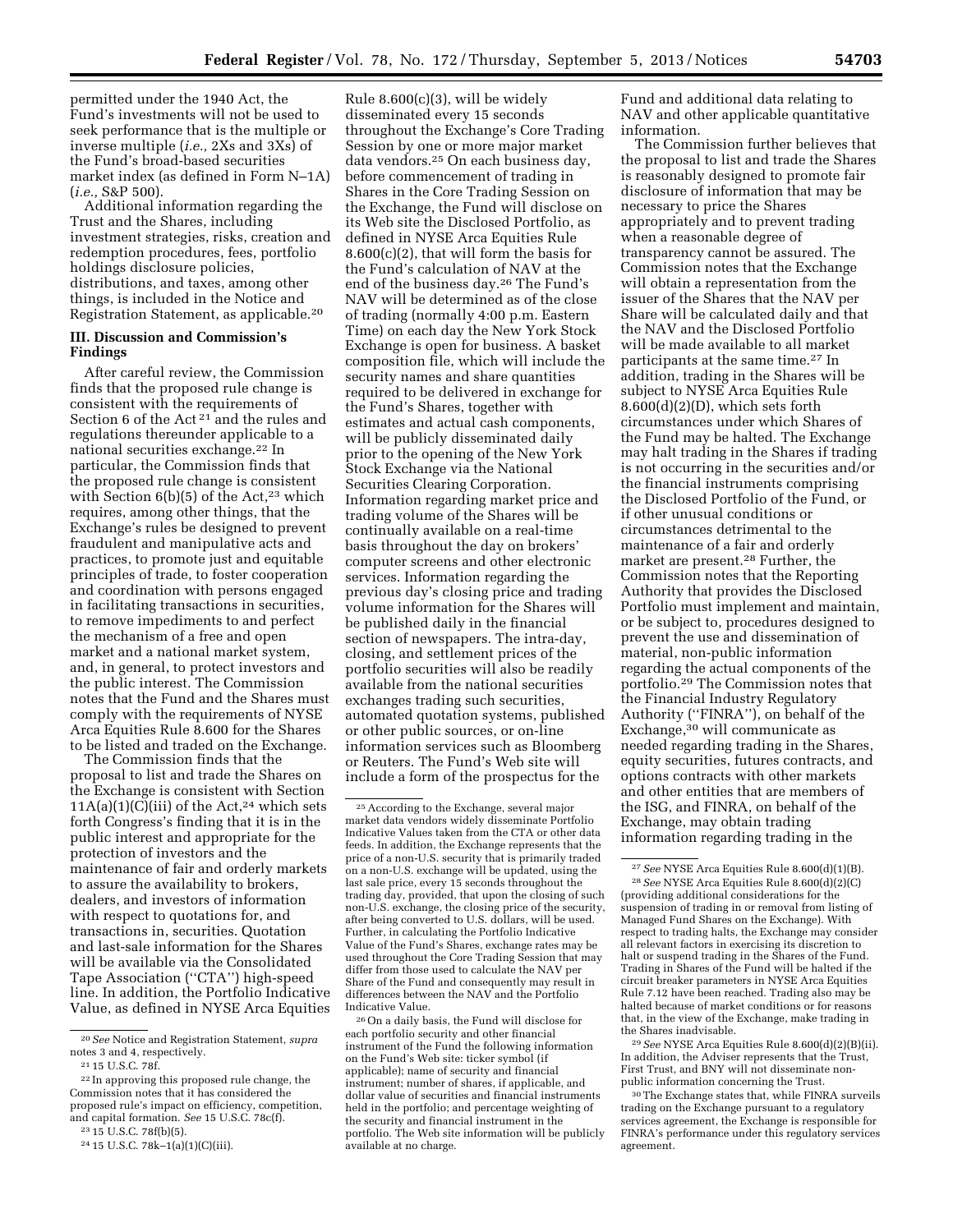permitted under the 1940 Act, the Fund's investments will not be used to seek performance that is the multiple or inverse multiple (*i.e.,* 2Xs and 3Xs) of the Fund's broad-based securities market index (as defined in Form N–1A) (*i.e.,* S&P 500).

Additional information regarding the Trust and the Shares, including investment strategies, risks, creation and redemption procedures, fees, portfolio holdings disclosure policies, distributions, and taxes, among other things, is included in the Notice and Registration Statement, as applicable.20

# **III. Discussion and Commission's Findings**

After careful review, the Commission finds that the proposed rule change is consistent with the requirements of Section 6 of the Act<sup>21</sup> and the rules and regulations thereunder applicable to a national securities exchange.22 In particular, the Commission finds that the proposed rule change is consistent with Section  $6(b)(5)$  of the Act,<sup>23</sup> which requires, among other things, that the Exchange's rules be designed to prevent fraudulent and manipulative acts and practices, to promote just and equitable principles of trade, to foster cooperation and coordination with persons engaged in facilitating transactions in securities, to remove impediments to and perfect the mechanism of a free and open market and a national market system, and, in general, to protect investors and the public interest. The Commission notes that the Fund and the Shares must comply with the requirements of NYSE Arca Equities Rule 8.600 for the Shares to be listed and traded on the Exchange.

The Commission finds that the proposal to list and trade the Shares on the Exchange is consistent with Section  $11A(a)(1)(C)(iii)$  of the Act,<sup>24</sup> which sets forth Congress's finding that it is in the public interest and appropriate for the protection of investors and the maintenance of fair and orderly markets to assure the availability to brokers, dealers, and investors of information with respect to quotations for, and transactions in, securities. Quotation and last-sale information for the Shares will be available via the Consolidated Tape Association (''CTA'') high-speed line. In addition, the Portfolio Indicative Value, as defined in NYSE Arca Equities

Rule 8.600(c)(3), will be widely disseminated every 15 seconds throughout the Exchange's Core Trading Session by one or more major market data vendors.25 On each business day, before commencement of trading in Shares in the Core Trading Session on the Exchange, the Fund will disclose on its Web site the Disclosed Portfolio, as defined in NYSE Arca Equities Rule 8.600(c)(2), that will form the basis for the Fund's calculation of NAV at the end of the business day.26 The Fund's NAV will be determined as of the close of trading (normally 4:00 p.m. Eastern Time) on each day the New York Stock Exchange is open for business. A basket composition file, which will include the security names and share quantities required to be delivered in exchange for the Fund's Shares, together with estimates and actual cash components, will be publicly disseminated daily prior to the opening of the New York Stock Exchange via the National Securities Clearing Corporation. Information regarding market price and trading volume of the Shares will be continually available on a real-time basis throughout the day on brokers' computer screens and other electronic services. Information regarding the previous day's closing price and trading volume information for the Shares will be published daily in the financial section of newspapers. The intra-day, closing, and settlement prices of the portfolio securities will also be readily available from the national securities exchanges trading such securities, automated quotation systems, published or other public sources, or on-line information services such as Bloomberg or Reuters. The Fund's Web site will include a form of the prospectus for the

26On a daily basis, the Fund will disclose for each portfolio security and other financial instrument of the Fund the following information on the Fund's Web site: ticker symbol (if applicable); name of security and financial instrument; number of shares, if applicable, and dollar value of securities and financial instruments held in the portfolio; and percentage weighting of the security and financial instrument in the portfolio. The Web site information will be publicly available at no charge.

Fund and additional data relating to NAV and other applicable quantitative information.

The Commission further believes that the proposal to list and trade the Shares is reasonably designed to promote fair disclosure of information that may be necessary to price the Shares appropriately and to prevent trading when a reasonable degree of transparency cannot be assured. The Commission notes that the Exchange will obtain a representation from the issuer of the Shares that the NAV per Share will be calculated daily and that the NAV and the Disclosed Portfolio will be made available to all market participants at the same time.27 In addition, trading in the Shares will be subject to NYSE Arca Equities Rule 8.600(d)(2)(D), which sets forth circumstances under which Shares of the Fund may be halted. The Exchange may halt trading in the Shares if trading is not occurring in the securities and/or the financial instruments comprising the Disclosed Portfolio of the Fund, or if other unusual conditions or circumstances detrimental to the maintenance of a fair and orderly market are present.28 Further, the Commission notes that the Reporting Authority that provides the Disclosed Portfolio must implement and maintain, or be subject to, procedures designed to prevent the use and dissemination of material, non-public information regarding the actual components of the portfolio.29 The Commission notes that the Financial Industry Regulatory Authority (''FINRA''), on behalf of the Exchange,30 will communicate as needed regarding trading in the Shares, equity securities, futures contracts, and options contracts with other markets and other entities that are members of the ISG, and FINRA, on behalf of the Exchange, may obtain trading information regarding trading in the

29*See* NYSE Arca Equities Rule 8.600(d)(2)(B)(ii). In addition, the Adviser represents that the Trust, First Trust, and BNY will not disseminate nonpublic information concerning the Trust.

30The Exchange states that, while FINRA surveils trading on the Exchange pursuant to a regulatory services agreement, the Exchange is responsible for FINRA's performance under this regulatory services agreement.

<sup>20</sup>*See* Notice and Registration Statement, *supra*  notes 3 and 4, respectively.

<sup>21</sup> 15 U.S.C. 78f.

<sup>22</sup> In approving this proposed rule change, the Commission notes that it has considered the proposed rule's impact on efficiency, competition, and capital formation. *See* 15 U.S.C. 78c(f).

<sup>23</sup> 15 U.S.C. 78f(b)(5).

<sup>24</sup> 15 U.S.C. 78k–1(a)(1)(C)(iii).

<sup>25</sup>According to the Exchange, several major market data vendors widely disseminate Portfolio Indicative Values taken from the CTA or other data feeds. In addition, the Exchange represents that the price of a non-U.S. security that is primarily traded on a non-U.S. exchange will be updated, using the last sale price, every 15 seconds throughout the trading day, provided, that upon the closing of such non-U.S. exchange, the closing price of the security, after being converted to U.S. dollars, will be used. Further, in calculating the Portfolio Indicative Value of the Fund's Shares, exchange rates may be used throughout the Core Trading Session that may differ from those used to calculate the NAV per Share of the Fund and consequently may result in differences between the NAV and the Portfolio Indicative Value.

<sup>27</sup>*See* NYSE Arca Equities Rule 8.600(d)(1)(B). 28*See* NYSE Arca Equities Rule 8.600(d)(2)(C) (providing additional considerations for the suspension of trading in or removal from listing of Managed Fund Shares on the Exchange). With respect to trading halts, the Exchange may consider all relevant factors in exercising its discretion to halt or suspend trading in the Shares of the Fund. Trading in Shares of the Fund will be halted if the circuit breaker parameters in NYSE Arca Equities Rule 7.12 have been reached. Trading also may be halted because of market conditions or for reasons that, in the view of the Exchange, make trading in the Shares inadvisable.